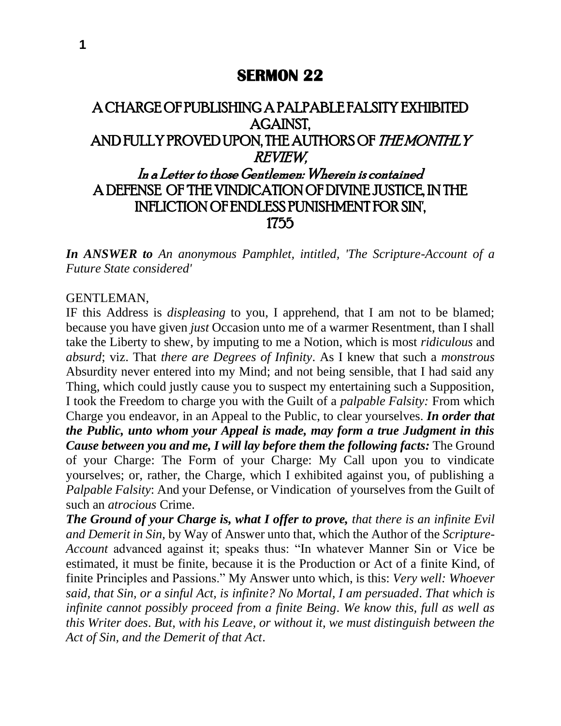# **SERMON 22**

# A CHARGE OF PUBLISHING A PALPABLE FALSITY EXHIBITED AGAINST, AND FULLY PROVED UPON, THE AUTHORS OF THE MONTHLY REVIEW, In a Letter to those Gentlemen: Wherein is contained A DEFENSE OF 'THE VINDICATION OF DIVINE JUSTICE, IN THE INFLICTION OF ENDLESS PUNISHMENT FOR SIN', 1755

*In ANSWER to An anonymous Pamphlet, intitled, 'The Scripture-Account of a Future State considered'*

#### GENTLEMAN,

IF this Address is *displeasing* to you, I apprehend, that I am not to be blamed; because you have given *just* Occasion unto me of a warmer Resentment, than I shall take the Liberty to shew, by imputing to me a Notion, which is most *ridiculous* and *absurd*; viz. That *there are Degrees of Infinity*. As I knew that such a *monstrous*  Absurdity never entered into my Mind; and not being sensible, that I had said any Thing, which could justly cause you to suspect my entertaining such a Supposition, I took the Freedom to charge you with the Guilt of a *palpable Falsity:* From which Charge you endeavor, in an Appeal to the Public, to clear yourselves. *In order that the Public, unto whom your Appeal is made, may form a true Judgment in this Cause between you and me, I will lay before them the following facts:* The Ground of your Charge: The Form of your Charge: My Call upon you to vindicate yourselves; or, rather, the Charge, which I exhibited against you, of publishing a *Palpable Falsity*: And your Defense, or Vindication of yourselves from the Guilt of such an *atrocious* Crime.

*The Ground of your Charge is, what I offer to prove, that there is an infinite Evil and Demerit in Sin,* by Way of Answer unto that, which the Author of the *Scripture-Account* advanced against it; speaks thus: "In whatever Manner Sin or Vice be estimated, it must be finite, because it is the Production or Act of a finite Kind, of finite Principles and Passions." My Answer unto which, is this: *Very well: Whoever said, that Sin, or a sinful Act, is infinite? No Mortal, I am persuaded*. *That which is infinite cannot possibly proceed from a finite Being*. *We know this, full as well as this Writer does*. *But, with his Leave, or without it, we must distinguish between the Act of Sin, and the Demerit of that Act*.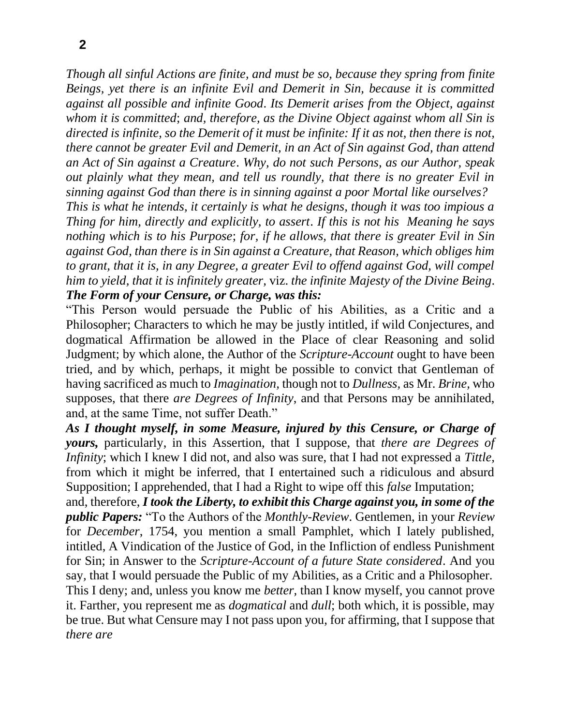**2**

*Though all sinful Actions are finite, and must be so, because they spring from finite Beings, yet there is an infinite Evil and Demerit in Sin, because it is committed against all possible and infinite Good*. *Its Demerit arises from the Object, against whom it is committed*; *and, therefore, as the Divine Object against whom all Sin is directed is infinite, so the Demerit of it must be infinite: If it as not, then there is not, there cannot be greater Evil and Demerit, in an Act of Sin against God, than attend an Act of Sin against a Creature*. *Why, do not such Persons, as our Author, speak out plainly what they mean, and tell us roundly, that there is no greater Evil in sinning against God than there is in sinning against a poor Mortal like ourselves? This is what he intends, it certainly is what he designs, though it was too impious a Thing for him, directly and explicitly, to assert*. *If this is not his Meaning he says nothing which is to his Purpose*; *for, if he allows, that there is greater Evil in Sin against God, than there is in Sin against a Creature, that Reason, which obliges him to grant, that it is, in any Degree, a greater Evil to offend against God, will compel him to yield, that it is infinitely greater,* viz. *the infinite Majesty of the Divine Being*.

*The Form of your Censure, or Charge, was this:*

"This Person would persuade the Public of his Abilities, as a Critic and a Philosopher; Characters to which he may be justly intitled, if wild Conjectures, and dogmatical Affirmation be allowed in the Place of clear Reasoning and solid Judgment; by which alone, the Author of the *Scripture-Account* ought to have been tried, and by which, perhaps, it might be possible to convict that Gentleman of having sacrificed as much to *Imagination,* though not to *Dullness,* as Mr. *Brine,* who supposes, that there *are Degrees of Infinity*, and that Persons may be annihilated, and, at the same Time, not suffer Death."

*As I thought myself, in some Measure, injured by this Censure, or Charge of yours,* particularly, in this Assertion, that I suppose, that *there are Degrees of Infinity*; which I knew I did not, and also was sure, that I had not expressed a *Tittle,*  from which it might be inferred, that I entertained such a ridiculous and absurd Supposition; I apprehended, that I had a Right to wipe off this *false* Imputation;

and, therefore, *I took the Liberty, to exhibit this Charge against you, in some of the public Papers:* "To the Authors of the *Monthly-Review*. Gentlemen, in your *Review*  for *December*, 1754, you mention a small Pamphlet, which I lately published, intitled, A Vindication of the Justice of God, in the Infliction of endless Punishment for Sin; in Answer to the *Scripture-Account of a future State considered*. And you say*,* that I would persuade the Public of my Abilities, as a Critic and a Philosopher. This I deny; and, unless you know me *better,* than I know myself, you cannot prove it. Farther, you represent me as *dogmatical* and *dull*; both which, it is possible, may be true. But what Censure may I not pass upon you, for affirming, that I suppose that *there are*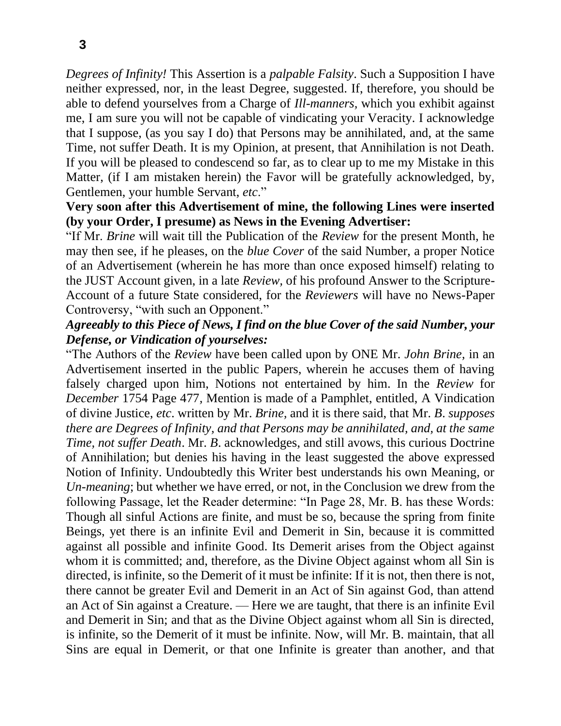*Degrees of Infinity!* This Assertion is a *palpable Falsity*. Such a Supposition I have neither expressed, nor, in the least Degree, suggested. If, therefore, you should be able to defend yourselves from a Charge of *Ill-manners,* which you exhibit against me, I am sure you will not be capable of vindicating your Veracity. I acknowledge that I suppose, (as you say I do) that Persons may be annihilated, and, at the same Time, not suffer Death. It is my Opinion, at present, that Annihilation is not Death. If you will be pleased to condescend so far, as to clear up to me my Mistake in this Matter, (if I am mistaken herein) the Favor will be gratefully acknowledged, by, Gentlemen, your humble Servant, *etc*."

#### **Very soon after this Advertisement of mine, the following Lines were inserted (by your Order, I presume) as News in the Evening Advertiser:**

"If Mr. *Brine* will wait till the Publication of the *Review* for the present Month, he may then see, if he pleases, on the *blue Cover* of the said Number, a proper Notice of an Advertisement (wherein he has more than once exposed himself) relating to the JUST Account given, in a late *Review,* of his profound Answer to the Scripture-Account of a future State considered, for the *Reviewers* will have no News-Paper Controversy, "with such an Opponent."

### *Agreeably to this Piece of News, I find on the blue Cover of the said Number, your Defense, or Vindication of yourselves:*

"The Authors of the *Review* have been called upon by ONE Mr. *John Brine,* in an Advertisement inserted in the public Papers, wherein he accuses them of having falsely charged upon him, Notions not entertained by him. In the *Review* for *December* 1754 Page 477*,* Mention is made of a Pamphlet, entitled, A Vindication of divine Justice, *etc*. written by Mr. *Brine,* and it is there said, that Mr. *B*. *supposes there are Degrees of Infinity, and that Persons may be annihilated, and, at the same Time, not suffer Death.* Mr. *B.* acknowledges, and still avows, this curious Doctrine of Annihilation; but denies his having in the least suggested the above expressed Notion of Infinity. Undoubtedly this Writer best understands his own Meaning, or *Un-meaning*; but whether we have erred, or not, in the Conclusion we drew from the following Passage, let the Reader determine: "In Page 28, Mr. B. has these Words: Though all sinful Actions are finite, and must be so, because the spring from finite Beings, yet there is an infinite Evil and Demerit in Sin, because it is committed against all possible and infinite Good. Its Demerit arises from the Object against whom it is committed; and, therefore, as the Divine Object against whom all Sin is directed, is infinite, so the Demerit of it must be infinite: If it is not, then there is not, there cannot be greater Evil and Demerit in an Act of Sin against God, than attend an Act of Sin against a Creature. — Here we are taught, that there is an infinite Evil and Demerit in Sin; and that as the Divine Object against whom all Sin is directed, is infinite, so the Demerit of it must be infinite. Now, will Mr. B. maintain, that all Sins are equal in Demerit, or that one Infinite is greater than another, and that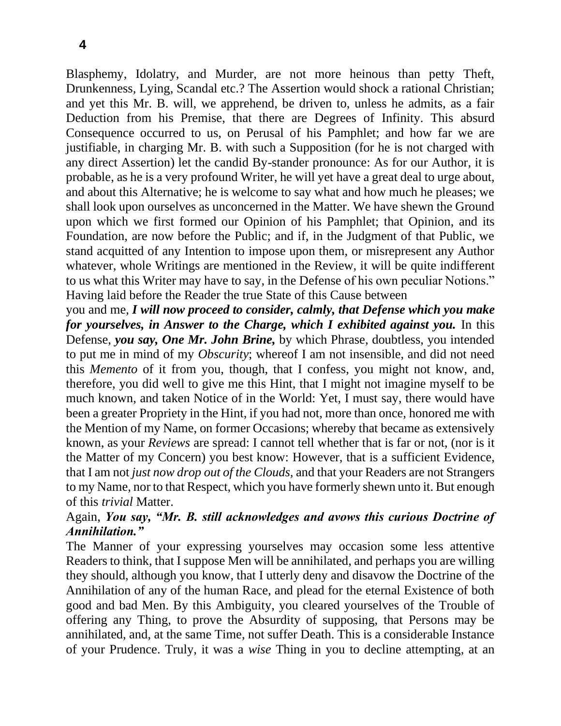Blasphemy, Idolatry, and Murder, are not more heinous than petty Theft, Drunkenness, Lying, Scandal etc.? The Assertion would shock a rational Christian; and yet this Mr. B. will, we apprehend, be driven to, unless he admits, as a fair Deduction from his Premise, that there are Degrees of Infinity. This absurd Consequence occurred to us, on Perusal of his Pamphlet; and how far we are justifiable, in charging Mr. B. with such a Supposition (for he is not charged with any direct Assertion) let the candid By-stander pronounce: As for our Author, it is probable, as he is a very profound Writer, he will yet have a great deal to urge about, and about this Alternative; he is welcome to say what and how much he pleases; we shall look upon ourselves as unconcerned in the Matter. We have shewn the Ground upon which we first formed our Opinion of his Pamphlet; that Opinion, and its Foundation, are now before the Public; and if, in the Judgment of that Public, we stand acquitted of any Intention to impose upon them, or misrepresent any Author whatever, whole Writings are mentioned in the Review, it will be quite indifferent to us what this Writer may have to say, in the Defense of his own peculiar Notions." Having laid before the Reader the true State of this Cause between

you and me, *I will now proceed to consider, calmly, that Defense which you make for yourselves, in Answer to the Charge, which I exhibited against you.* In this Defense, *you say, One Mr. John Brine,* by which Phrase, doubtless, you intended to put me in mind of my *Obscurity*; whereof I am not insensible, and did not need this *Memento* of it from you, though, that I confess, you might not know, and, therefore, you did well to give me this Hint, that I might not imagine myself to be much known, and taken Notice of in the World: Yet, I must say, there would have been a greater Propriety in the Hint, if you had not, more than once, honored me with the Mention of my Name, on former Occasions; whereby that became as extensively known, as your *Reviews* are spread: I cannot tell whether that is far or not, (nor is it the Matter of my Concern) you best know: However, that is a sufficient Evidence, that I am not *just now drop out of the Clouds,* and that your Readers are not Strangers to my Name, nor to that Respect, which you have formerly shewn unto it. But enough of this *trivial* Matter.

## Again, *You say, "Mr. B. still acknowledges and avows this curious Doctrine of Annihilation."*

The Manner of your expressing yourselves may occasion some less attentive Readers to think, that I suppose Men will be annihilated, and perhaps you are willing they should, although you know, that I utterly deny and disavow the Doctrine of the Annihilation of any of the human Race, and plead for the eternal Existence of both good and bad Men. By this Ambiguity, you cleared yourselves of the Trouble of offering any Thing, to prove the Absurdity of supposing, that Persons may be annihilated, and, at the same Time, not suffer Death. This is a considerable Instance of your Prudence. Truly, it was a *wise* Thing in you to decline attempting, at an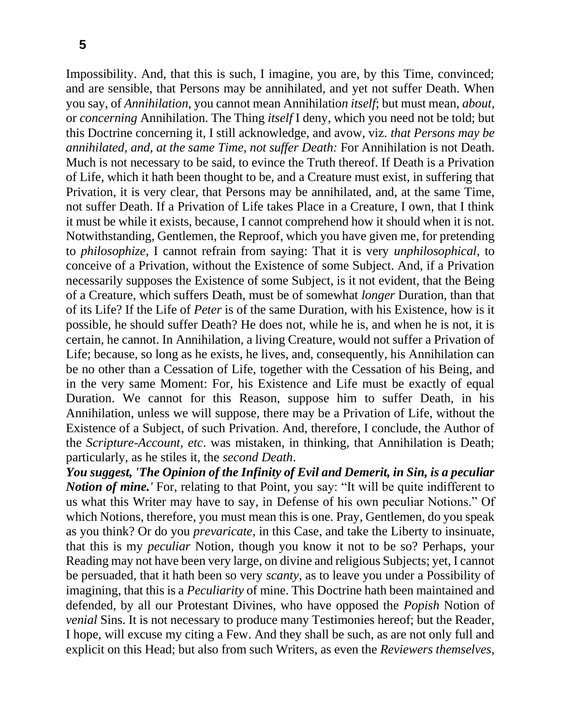Impossibility. And, that this is such, I imagine, you are, by this Time, convinced; and are sensible, that Persons may be annihilated, and yet not suffer Death. When you say, of *Annihilation,* you cannot mean Annihilatio*n itself*; but must mean, *about*, or *concerning* Annihilation. The Thing *itself* I deny, which you need not be told; but this Doctrine concerning it, I still acknowledge, and avow, viz. *that Persons may be annihilated, and, at the same Time, not suffer Death:* For Annihilation is not Death. Much is not necessary to be said, to evince the Truth thereof. If Death is a Privation of Life, which it hath been thought to be, and a Creature must exist, in suffering that Privation, it is very clear, that Persons may be annihilated, and, at the same Time, not suffer Death. If a Privation of Life takes Place in a Creature, I own, that I think it must be while it exists, because, I cannot comprehend how it should when it is not. Notwithstanding, Gentlemen, the Reproof, which you have given me, for pretending to *philosophize*, I cannot refrain from saying: That it is very *unphilosophical,* to conceive of a Privation, without the Existence of some Subject. And, if a Privation necessarily supposes the Existence of some Subject, is it not evident, that the Being of a Creature, which suffers Death, must be of somewhat *longer* Duration, than that of its Life? If the Life of *Peter* is of the same Duration, with his Existence, how is it possible, he should suffer Death? He does not, while he is, and when he is not, it is certain, he cannot. In Annihilation, a living Creature, would not suffer a Privation of Life; because, so long as he exists, he lives, and, consequently, his Annihilation can be no other than a Cessation of Life, together with the Cessation of his Being, and in the very same Moment: For, his Existence and Life must be exactly of equal Duration. We cannot for this Reason, suppose him to suffer Death, in his Annihilation, unless we will suppose, there may be a Privation of Life, without the Existence of a Subject, of such Privation. And, therefore, I conclude, the Author of the *Scripture-Account, etc*. was mistaken, in thinking, that Annihilation is Death; particularly, as he stiles it, the *second Death*.

*You suggest, 'The Opinion of the Infinity of Evil and Demerit, in Sin, is a peculiar Notion of mine.* For, relating to that Point, you say: "It will be quite indifferent to us what this Writer may have to say, in Defense of his own peculiar Notions." Of which Notions, therefore, you must mean this is one. Pray, Gentlemen, do you speak as you think? Or do you *prevaricate,* in this Case, and take the Liberty to insinuate, that this is my *peculiar* Notion, though you know it not to be so? Perhaps, your Reading may not have been very large, on divine and religious Subjects; yet, I cannot be persuaded, that it hath been so very *scanty,* as to leave you under a Possibility of imagining, that this is a *Peculiarity* of mine. This Doctrine hath been maintained and defended, by all our Protestant Divines, who have opposed the *Popish* Notion of *venial* Sins. It is not necessary to produce many Testimonies hereof; but the Reader, I hope, will excuse my citing a Few. And they shall be such, as are not only full and explicit on this Head; but also from such Writers, as even the *Reviewers themselves,*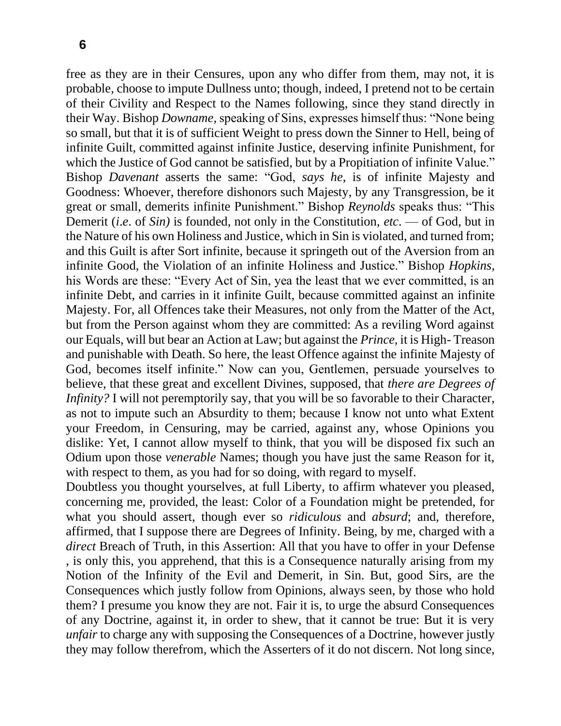free as they are in their Censures, upon any who differ from them, may not, it is probable, choose to impute Dullness unto; though, indeed, I pretend not to be certain of their Civility and Respect to the Names following, since they stand directly in their Way. Bishop *Downame,* speaking of Sins, expresses himself thus: "None being so small, but that it is of sufficient Weight to press down the Sinner to Hell, being of infinite Guilt, committed against infinite Justice, deserving infinite Punishment, for which the Justice of God cannot be satisfied, but by a Propitiation of infinite Value." Bishop *Davenant* asserts the same: "God, *says he*, is of infinite Majesty and Goodness: Whoever, therefore dishonors such Majesty, by any Transgression, be it great or small, demerits infinite Punishment." Bishop *Reynolds* speaks thus: "This Demerit (*i*.*e*. of *Sin)* is founded, not only in the Constitution, *etc*. — of God, but in the Nature of his own Holiness and Justice, which in Sin is violated, and turned from; and this Guilt is after Sort infinite, because it springeth out of the Aversion from an infinite Good, the Violation of an infinite Holiness and Justice." Bishop *Hopkins,*  his Words are these: "Every Act of Sin, yea the least that we ever committed, is an infinite Debt, and carries in it infinite Guilt, because committed against an infinite Majesty. For, all Offences take their Measures, not only from the Matter of the Act, but from the Person against whom they are committed: As a reviling Word against our Equals, will but bear an Action at Law; but against the *Prince,* it is High- Treason and punishable with Death. So here, the least Offence against the infinite Majesty of God, becomes itself infinite." Now can you, Gentlemen, persuade yourselves to believe, that these great and excellent Divines, supposed, that *there are Degrees of Infinity?* I will not peremptorily say, that you will be so favorable to their Character, as not to impute such an Absurdity to them; because I know not unto what Extent your Freedom, in Censuring, may be carried, against any, whose Opinions you dislike: Yet, I cannot allow myself to think, that you will be disposed fix such an Odium upon those *venerable* Names; though you have just the same Reason for it, with respect to them, as you had for so doing, with regard to myself.

Doubtless you thought yourselves, at full Liberty, to affirm whatever you pleased, concerning me, provided, the least: Color of a Foundation might be pretended, for what you should assert, though ever so *ridiculous* and *absurd*; and, therefore, affirmed, that I suppose there are Degrees of Infinity. Being, by me, charged with a *direct* Breach of Truth, in this Assertion: All that you have to offer in your Defense , is only this, you apprehend, that this is a Consequence naturally arising from my Notion of the Infinity of the Evil and Demerit, in Sin. But, good Sirs, are the Consequences which justly follow from Opinions, always seen, by those who hold them? I presume you know they are not. Fair it is, to urge the absurd Consequences of any Doctrine, against it, in order to shew, that it cannot be true: But it is very *unfair* to charge any with supposing the Consequences of a Doctrine, however justly they may follow therefrom, which the Asserters of it do not discern. Not long since,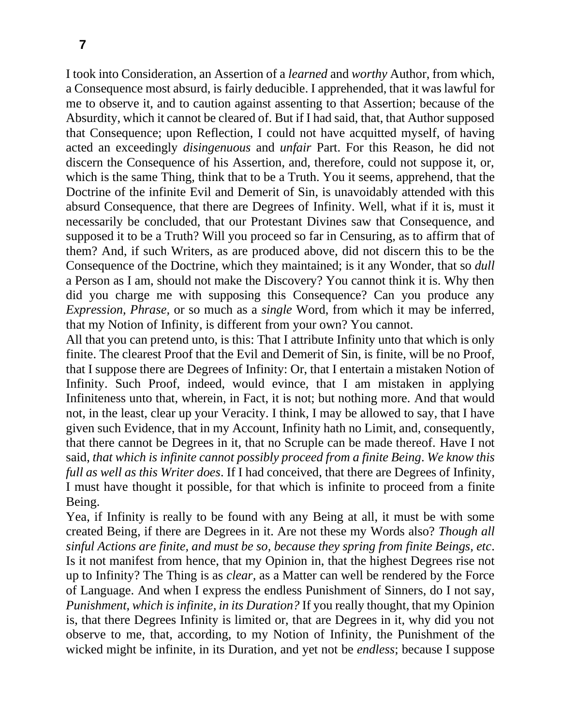I took into Consideration, an Assertion of a *learned* and *worthy* Author, from which, a Consequence most absurd, is fairly deducible. I apprehended, that it was lawful for me to observe it, and to caution against assenting to that Assertion; because of the Absurdity, which it cannot be cleared of. But if I had said, that, that Author supposed that Consequence; upon Reflection, I could not have acquitted myself, of having acted an exceedingly *disingenuous* and *unfair* Part. For this Reason, he did not discern the Consequence of his Assertion, and, therefore, could not suppose it, or, which is the same Thing, think that to be a Truth. You it seems, apprehend, that the Doctrine of the infinite Evil and Demerit of Sin, is unavoidably attended with this absurd Consequence, that there are Degrees of Infinity. Well, what if it is, must it necessarily be concluded, that our Protestant Divines saw that Consequence, and supposed it to be a Truth? Will you proceed so far in Censuring, as to affirm that of them? And, if such Writers, as are produced above, did not discern this to be the Consequence of the Doctrine, which they maintained; is it any Wonder, that so *dull*  a Person as I am, should not make the Discovery? You cannot think it is. Why then did you charge me with supposing this Consequence? Can you produce any *Expression, Phrase,* or so much as a *single* Word, from which it may be inferred, that my Notion of Infinity, is different from your own? You cannot.

All that you can pretend unto, is this: That I attribute Infinity unto that which is only finite. The clearest Proof that the Evil and Demerit of Sin, is finite, will be no Proof, that I suppose there are Degrees of Infinity: Or, that I entertain a mistaken Notion of Infinity. Such Proof, indeed, would evince, that I am mistaken in applying Infiniteness unto that, wherein, in Fact, it is not; but nothing more. And that would not, in the least, clear up your Veracity. I think, I may be allowed to say, that I have given such Evidence, that in my Account, Infinity hath no Limit, and, consequently, that there cannot be Degrees in it, that no Scruple can be made thereof. Have I not said, *that which is infinite cannot possibly proceed from a finite Being*. *We know this full as well as this Writer does*. If I had conceived, that there are Degrees of Infinity, I must have thought it possible, for that which is infinite to proceed from a finite Being.

Yea, if Infinity is really to be found with any Being at all, it must be with some created Being, if there are Degrees in it. Are not these my Words also? *Though all sinful Actions are finite, and must be so, because they spring from finite Beings, etc*. Is it not manifest from hence, that my Opinion in, that the highest Degrees rise not up to Infinity? The Thing is as *clear,* as a Matter can well be rendered by the Force of Language. And when I express the endless Punishment of Sinners, do I not say, *Punishment, which is infinite, in its Duration?* If you really thought, that my Opinion is, that there Degrees Infinity is limited or, that are Degrees in it, why did you not observe to me, that, according, to my Notion of Infinity, the Punishment of the wicked might be infinite, in its Duration, and yet not be *endless*; because I suppose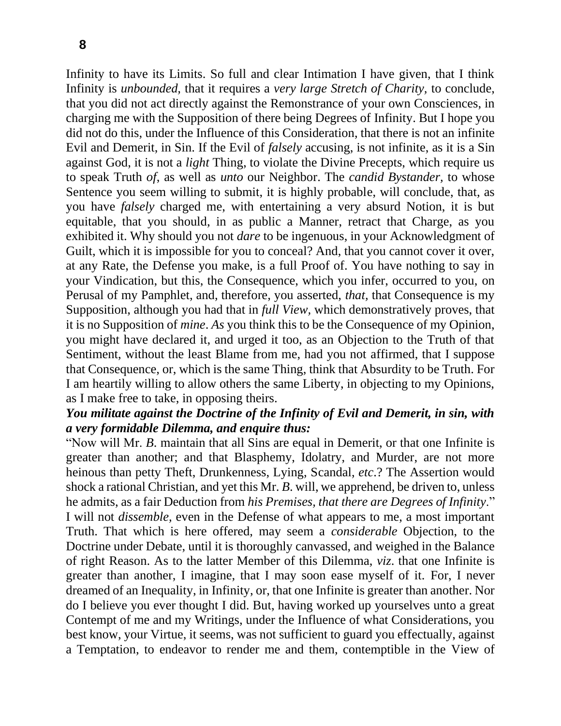Infinity to have its Limits. So full and clear Intimation I have given, that I think Infinity is *unbounded,* that it requires a *very large Stretch of Charity,* to conclude, that you did not act directly against the Remonstrance of your own Consciences, in charging me with the Supposition of there being Degrees of Infinity. But I hope you did not do this, under the Influence of this Consideration, that there is not an infinite Evil and Demerit, in Sin. If the Evil of *falsely* accusing, is not infinite, as it is a Sin against God, it is not a *light* Thing, to violate the Divine Precepts, which require us to speak Truth *of*, as well as *unto* our Neighbor. The *candid Bystander,* to whose Sentence you seem willing to submit, it is highly probable, will conclude, that, as you have *falsely* charged me, with entertaining a very absurd Notion, it is but equitable, that you should, in as public a Manner, retract that Charge, as you exhibited it. Why should you not *dare* to be ingenuous, in your Acknowledgment of Guilt, which it is impossible for you to conceal? And, that you cannot cover it over, at any Rate, the Defense you make, is a full Proof of. You have nothing to say in your Vindication, but this, the Consequence, which you infer, occurred to you, on Perusal of my Pamphlet, and, therefore, you asserted, *that,* that Consequence is my Supposition, although you had that in *full View,* which demonstratively proves, that it is no Supposition of *mine*. *As* you think this to be the Consequence of my Opinion, you might have declared it, and urged it too, as an Objection to the Truth of that Sentiment, without the least Blame from me, had you not affirmed, that I suppose that Consequence, or, which is the same Thing, think that Absurdity to be Truth. For I am heartily willing to allow others the same Liberty, in objecting to my Opinions, as I make free to take, in opposing theirs.

### *You militate against the Doctrine of the Infinity of Evil and Demerit, in sin, with a very formidable Dilemma, and enquire thus:*

"Now will Mr. *B*. maintain that all Sins are equal in Demerit, or that one Infinite is greater than another; and that Blasphemy, Idolatry, and Murder, are not more heinous than petty Theft, Drunkenness, Lying, Scandal, *etc*.? The Assertion would shock a rational Christian, and yet this Mr. *B*. will, we apprehend, be driven to, unless he admits, as a fair Deduction from *his Premises, that there are Degrees of Infinity*." I will not *dissemble,* even in the Defense of what appears to me, a most important Truth. That which is here offered, may seem a *considerable* Objection, to the Doctrine under Debate, until it is thoroughly canvassed, and weighed in the Balance of right Reason. As to the latter Member of this Dilemma, *viz*. that one Infinite is greater than another, I imagine, that I may soon ease myself of it. For, I never dreamed of an Inequality, in Infinity, or, that one Infinite is greater than another. Nor do I believe you ever thought I did. But, having worked up yourselves unto a great Contempt of me and my Writings, under the Influence of what Considerations, you best know, your Virtue, it seems, was not sufficient to guard you effectually, against a Temptation, to endeavor to render me and them, contemptible in the View of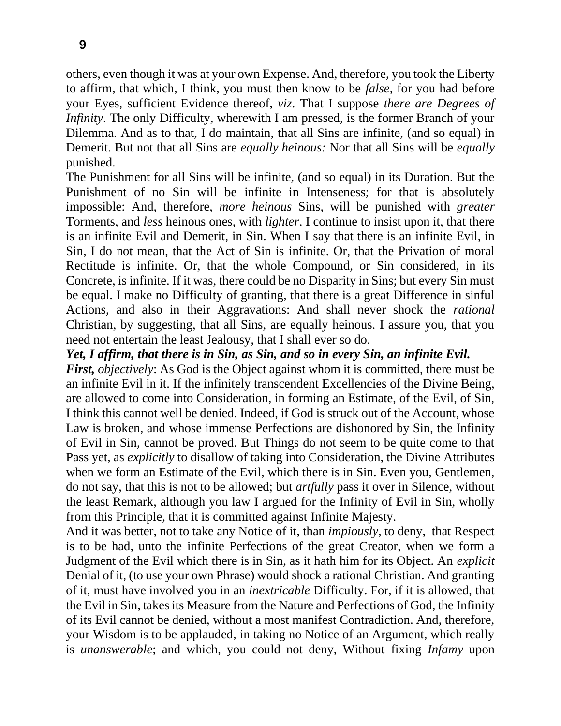others, even though it was at your own Expense. And, therefore, you took the Liberty to affirm, that which, I think, you must then know to be *false,* for you had before your Eyes, sufficient Evidence thereof, *viz*. That I suppose *there are Degrees of Infinity*. The only Difficulty, wherewith I am pressed, is the former Branch of your Dilemma. And as to that, I do maintain, that all Sins are infinite, (and so equal) in Demerit. But not that all Sins are *equally heinous:* Nor that all Sins will be *equally*  punished.

The Punishment for all Sins will be infinite, (and so equal) in its Duration. But the Punishment of no Sin will be infinite in Intenseness; for that is absolutely impossible: And, therefore, *more heinous* Sins, will be punished with *greater*  Torments, and *less* heinous ones, with *lighter*. I continue to insist upon it, that there is an infinite Evil and Demerit, in Sin. When I say that there is an infinite Evil, in Sin, I do not mean, that the Act of Sin is infinite. Or, that the Privation of moral Rectitude is infinite. Or, that the whole Compound, or Sin considered, in its Concrete, is infinite. If it was, there could be no Disparity in Sins; but every Sin must be equal. I make no Difficulty of granting, that there is a great Difference in sinful Actions, and also in their Aggravations: And shall never shock the *rational*  Christian, by suggesting, that all Sins, are equally heinous. I assure you, that you need not entertain the least Jealousy, that I shall ever so do.

*Yet, I affirm, that there is in Sin, as Sin, and so in every Sin, an infinite Evil. First, objectively:* As God is the Object against whom it is committed, there must be an infinite Evil in it. If the infinitely transcendent Excellencies of the Divine Being, are allowed to come into Consideration, in forming an Estimate, of the Evil, of Sin, I think this cannot well be denied. Indeed, if God is struck out of the Account, whose Law is broken, and whose immense Perfections are dishonored by Sin, the Infinity of Evil in Sin, cannot be proved. But Things do not seem to be quite come to that Pass yet, as *explicitly* to disallow of taking into Consideration, the Divine Attributes when we form an Estimate of the Evil, which there is in Sin. Even you, Gentlemen, do not say, that this is not to be allowed; but *artfully* pass it over in Silence, without the least Remark, although you law I argued for the Infinity of Evil in Sin, wholly from this Principle, that it is committed against Infinite Majesty.

And it was better, not to take any Notice of it, than *impiously,* to deny, that Respect is to be had, unto the infinite Perfections of the great Creator, when we form a Judgment of the Evil which there is in Sin, as it hath him for its Object. An *explicit* Denial of it, (to use your own Phrase) would shock a rational Christian. And granting of it, must have involved you in an *inextricable* Difficulty. For, if it is allowed, that the Evil in Sin, takes its Measure from the Nature and Perfections of God, the Infinity of its Evil cannot be denied, without a most manifest Contradiction. And, therefore, your Wisdom is to be applauded, in taking no Notice of an Argument, which really is *unanswerable*; and which, you could not deny, Without fixing *Infamy* upon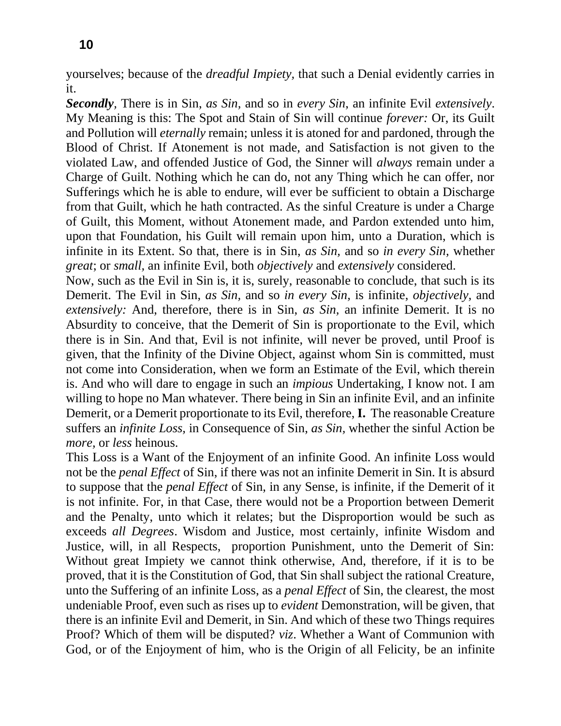yourselves; because of the *dreadful Impiety,* that such a Denial evidently carries in it.

*Secondly,* There is in Sin, *as Sin,* and so in *every Sin*, an infinite Evil *extensively*. My Meaning is this: The Spot and Stain of Sin will continue *forever:* Or, its Guilt and Pollution will *eternally* remain; unless it is atoned for and pardoned, through the Blood of Christ. If Atonement is not made, and Satisfaction is not given to the violated Law, and offended Justice of God, the Sinner will *always* remain under a Charge of Guilt. Nothing which he can do, not any Thing which he can offer, nor Sufferings which he is able to endure, will ever be sufficient to obtain a Discharge from that Guilt, which he hath contracted. As the sinful Creature is under a Charge of Guilt, this Moment, without Atonement made, and Pardon extended unto him, upon that Foundation, his Guilt will remain upon him, unto a Duration, which is infinite in its Extent. So that, there is in Sin, *as Sin,* and so *in every Sin,* whether *great*; or *small,* an infinite Evil, both *objectively* and *extensively* considered.

Now, such as the Evil in Sin is, it is, surely, reasonable to conclude, that such is its Demerit. The Evil in Sin, *as Sin,* and so *in every Sin,* is infinite, *objectively,* and *extensively:* And, therefore, there is in Sin, *as Sin,* an infinite Demerit. It is no Absurdity to conceive, that the Demerit of Sin is proportionate to the Evil, which there is in Sin. And that, Evil is not infinite, will never be proved, until Proof is given, that the Infinity of the Divine Object, against whom Sin is committed, must not come into Consideration, when we form an Estimate of the Evil, which therein is. And who will dare to engage in such an *impious* Undertaking, I know not. I am willing to hope no Man whatever. There being in Sin an infinite Evil, and an infinite Demerit, or a Demerit proportionate to its Evil, therefore, **I.** The reasonable Creature suffers an *infinite Loss,* in Consequence of Sin, *as Sin,* whether the sinful Action be *more,* or *less* heinous.

This Loss is a Want of the Enjoyment of an infinite Good. An infinite Loss would not be the *penal Effect* of Sin, if there was not an infinite Demerit in Sin. It is absurd to suppose that the *penal Effect* of Sin, in any Sense, is infinite, if the Demerit of it is not infinite. For, in that Case, there would not be a Proportion between Demerit and the Penalty, unto which it relates; but the Disproportion would be such as exceeds *all Degrees*. Wisdom and Justice, most certainly, infinite Wisdom and Justice, will, in all Respects, proportion Punishment, unto the Demerit of Sin: Without great Impiety we cannot think otherwise, And, therefore, if it is to be proved, that it is the Constitution of God, that Sin shall subject the rational Creature, unto the Suffering of an infinite Loss, as a *penal Effect* of Sin, the clearest, the most undeniable Proof, even such as rises up to *evident* Demonstration, will be given, that there is an infinite Evil and Demerit, in Sin. And which of these two Things requires Proof? Which of them will be disputed? *viz*. Whether a Want of Communion with God, or of the Enjoyment of him, who is the Origin of all Felicity, be an infinite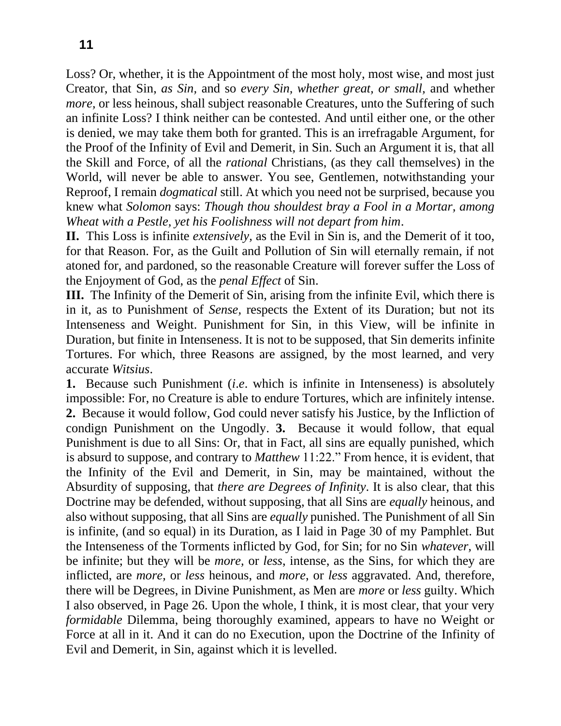Loss? Or, whether, it is the Appointment of the most holy, most wise, and most just Creator, that Sin, *as Sin,* and so *every Sin, whether great, or small,* and whether *more*, or less heinous, shall subject reasonable Creatures, unto the Suffering of such an infinite Loss? I think neither can be contested. And until either one, or the other is denied, we may take them both for granted. This is an irrefragable Argument, for the Proof of the Infinity of Evil and Demerit, in Sin. Such an Argument it is, that all the Skill and Force, of all the *rational* Christians, (as they call themselves) in the World, will never be able to answer. You see, Gentlemen, notwithstanding your Reproof, I remain *dogmatical* still. At which you need not be surprised, because you knew what *Solomon* says: *Though thou shouldest bray a Fool in a Mortar, among Wheat with a Pestle, yet his Foolishness will not depart from him*.

**II.** This Loss is infinite *extensively,* as the Evil in Sin is, and the Demerit of it too, for that Reason. For, as the Guilt and Pollution of Sin will eternally remain, if not atoned for, and pardoned, so the reasonable Creature will forever suffer the Loss of the Enjoyment of God, as the *penal Effect* of Sin.

**III.** The Infinity of the Demerit of Sin, arising from the infinite Evil, which there is in it, as to Punishment of *Sense,* respects the Extent of its Duration; but not its Intenseness and Weight. Punishment for Sin, in this View, will be infinite in Duration, but finite in Intenseness. It is not to be supposed, that Sin demerits infinite Tortures. For which, three Reasons are assigned, by the most learned, and very accurate *Witsius*.

**1.** Because such Punishment (*i*.*e*. which is infinite in Intenseness) is absolutely impossible: For, no Creature is able to endure Tortures, which are infinitely intense. **2.** Because it would follow, God could never satisfy his Justice, by the Infliction of condign Punishment on the Ungodly. **3.** Because it would follow, that equal Punishment is due to all Sins: Or, that in Fact, all sins are equally punished, which is absurd to suppose, and contrary to *Matthew* 11:22." From hence, it is evident, that the Infinity of the Evil and Demerit, in Sin, may be maintained, without the Absurdity of supposing, that *there are Degrees of Infinity*. It is also clear, that this Doctrine may be defended, without supposing, that all Sins are *equally* heinous, and also without supposing, that all Sins are *equally* punished. The Punishment of all Sin is infinite, (and so equal) in its Duration, as I laid in Page 30 of my Pamphlet. But the Intenseness of the Torments inflicted by God, for Sin; for no Sin *whatever,* will be infinite; but they will be *more,* or *less*, intense, as the Sins, for which they are inflicted, are *more,* or *less* heinous, and *more*, or *less* aggravated. And, therefore, there will be Degrees, in Divine Punishment, as Men are *more* or *less* guilty. Which I also observed, in Page 26. Upon the whole, I think, it is most clear, that your very *formidable* Dilemma, being thoroughly examined, appears to have no Weight or Force at all in it. And it can do no Execution, upon the Doctrine of the Infinity of Evil and Demerit, in Sin, against which it is levelled.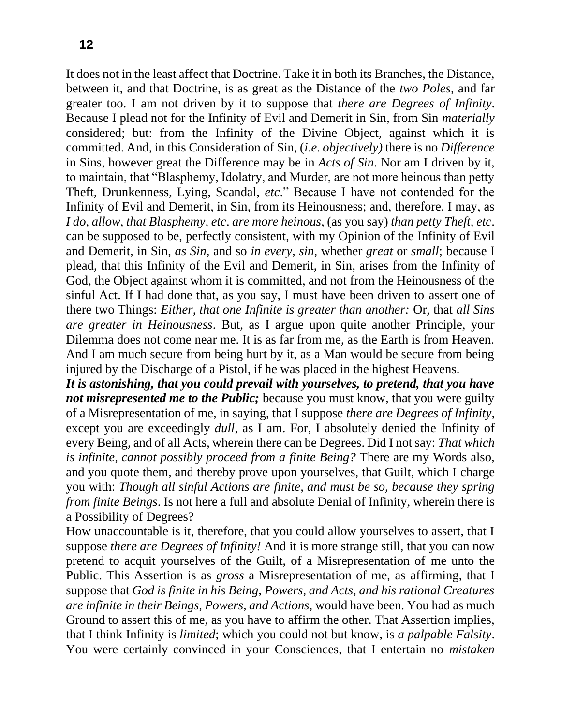It does not in the least affect that Doctrine. Take it in both its Branches, the Distance, between it, and that Doctrine, is as great as the Distance of the *two Poles,* and far greater too. I am not driven by it to suppose that *there are Degrees of Infinity*. Because I plead not for the Infinity of Evil and Demerit in Sin, from Sin *materially*  considered; but: from the Infinity of the Divine Object, against which it is committed. And, in this Consideration of Sin, (*i*.*e*. *objectively)* there is no *Difference*  in Sins, however great the Difference may be in *Acts of Sin*. Nor am I driven by it, to maintain, that "Blasphemy, Idolatry, and Murder, are not more heinous than petty Theft, Drunkenness, Lying, Scandal, *etc*." Because I have not contended for the Infinity of Evil and Demerit, in Sin, from its Heinousness; and, therefore, I may, as *I do, allow, that Blasphemy, etc*. *are more heinous,* (as you say) *than petty Theft, etc*. can be supposed to be, perfectly consistent, with my Opinion of the Infinity of Evil and Demerit, in Sin, *as Sin,* and so *in every, sin,* whether *great* or *small*; because I plead, that this Infinity of the Evil and Demerit, in Sin, arises from the Infinity of God, the Object against whom it is committed, and not from the Heinousness of the sinful Act. If I had done that, as you say, I must have been driven to assert one of there two Things: *Either, that one Infinite is greater than another:* Or, that *all Sins are greater in Heinousness*. But, as I argue upon quite another Principle, your Dilemma does not come near me. It is as far from me, as the Earth is from Heaven. And I am much secure from being hurt by it, as a Man would be secure from being injured by the Discharge of a Pistol, if he was placed in the highest Heavens.

*It is astonishing, that you could prevail with yourselves, to pretend, that you have not misrepresented me to the Public;* because you must know, that you were guilty of a Misrepresentation of me, in saying, that I suppose *there are Degrees of Infinity,*  except you are exceedingly *dull,* as I am. For, I absolutely denied the Infinity of every Being, and of all Acts, wherein there can be Degrees. Did I not say: *That which is infinite, cannot possibly proceed from a finite Being?* There are my Words also, and you quote them, and thereby prove upon yourselves, that Guilt, which I charge you with: *Though all sinful Actions are finite, and must be so, because they spring from finite Beings*. Is not here a full and absolute Denial of Infinity, wherein there is a Possibility of Degrees?

How unaccountable is it, therefore, that you could allow yourselves to assert, that I suppose *there are Degrees of Infinity!* And it is more strange still, that you can now pretend to acquit yourselves of the Guilt, of a Misrepresentation of me unto the Public. This Assertion is as *gross* a Misrepresentation of me, as affirming, that I suppose that *God is finite in his Being, Powers, and Acts, and his rational Creatures are infinite in their Beings, Powers, and Actions,* would have been. You had as much Ground to assert this of me, as you have to affirm the other. That Assertion implies, that I think Infinity is *limited*; which you could not but know, is *a palpable Falsity*. You were certainly convinced in your Consciences, that I entertain no *mistaken*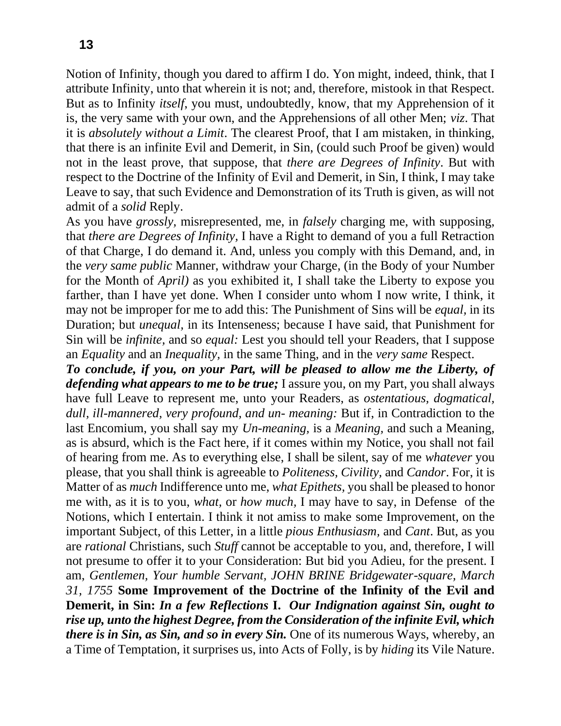Notion of Infinity, though you dared to affirm I do. Yon might, indeed, think, that I attribute Infinity, unto that wherein it is not; and, therefore, mistook in that Respect. But as to Infinity *itself*, you must, undoubtedly, know, that my Apprehension of it is, the very same with your own, and the Apprehensions of all other Men; *viz*. That it is *absolutely without a Limit*. The clearest Proof, that I am mistaken, in thinking, that there is an infinite Evil and Demerit, in Sin, (could such Proof be given) would not in the least prove, that suppose, that *there are Degrees of Infinity*. But with respect to the Doctrine of the Infinity of Evil and Demerit, in Sin, I think, I may take Leave to say, that such Evidence and Demonstration of its Truth is given, as will not admit of a *solid* Reply.

As you have *grossly,* misrepresented, me, in *falsely* charging me, with supposing, that *there are Degrees of Infinity,* I have a Right to demand of you a full Retraction of that Charge, I do demand it. And, unless you comply with this Demand, and, in the *very same public* Manner, withdraw your Charge, (in the Body of your Number for the Month of *April)* as you exhibited it, I shall take the Liberty to expose you farther, than I have yet done. When I consider unto whom I now write, I think, it may not be improper for me to add this: The Punishment of Sins will be *equal,* in its Duration; but *unequal,* in its Intenseness; because I have said, that Punishment for Sin will be *infinite,* and so *equal:* Lest you should tell your Readers, that I suppose an *Equality* and an *Inequality,* in the same Thing, and in the *very same* Respect.

*To conclude, if you, on your Part, will be pleased to allow me the Liberty, of defending what appears to me to be true;* I assure you, on my Part, you shall always have full Leave to represent me, unto your Readers, as *ostentatious, dogmatical, dull, ill-mannered, very profound, and un- meaning:* But if, in Contradiction to the last Encomium, you shall say my *Un-meaning,* is a *Meaning,* and such a Meaning, as is absurd, which is the Fact here, if it comes within my Notice, you shall not fail of hearing from me. As to everything else, I shall be silent, say of me *whatever* you please, that you shall think is agreeable to *Politeness, Civility,* and *Candor*. For, it is Matter of as *much* Indifference unto me, *what Epithets,* you shall be pleased to honor me with, as it is to you, *what,* or *how much,* I may have to say, in Defense of the Notions, which I entertain. I think it not amiss to make some Improvement, on the important Subject, of this Letter, in a little *pious Enthusiasm,* and *Cant*. But, as you are *rational* Christians, such *Stuff* cannot be acceptable to you, and, therefore, I will not presume to offer it to your Consideration: But bid you Adieu, for the present. I am, *Gentlemen, Your humble Servant, JOHN BRINE Bridgewater-square, March 31, 1755* **Some Improvement of the Doctrine of the Infinity of the Evil and Demerit, in Sin:** *In a few Reflections* **I.** *Our Indignation against Sin, ought to rise up, unto the highest Degree, from the Consideration of the infinite Evil, which there is in Sin, as Sin, and so in every Sin.* One of its numerous Ways, whereby, an a Time of Temptation, it surprises us, into Acts of Folly, is by *hiding* its Vile Nature.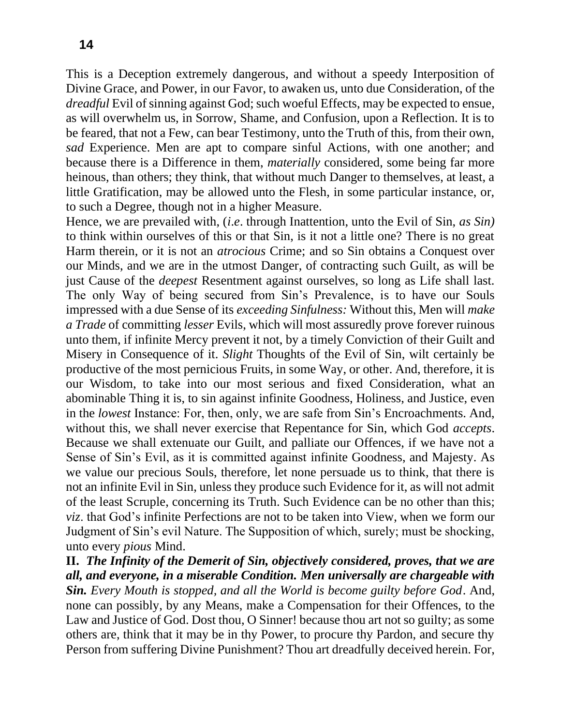This is a Deception extremely dangerous, and without a speedy Interposition of Divine Grace, and Power, in our Favor, to awaken us, unto due Consideration, of the *dreadful* Evil of sinning against God; such woeful Effects, may be expected to ensue, as will overwhelm us, in Sorrow, Shame, and Confusion, upon a Reflection. It is to be feared, that not a Few, can bear Testimony, unto the Truth of this, from their own, *sad* Experience. Men are apt to compare sinful Actions, with one another; and because there is a Difference in them, *materially* considered, some being far more heinous, than others; they think, that without much Danger to themselves, at least, a little Gratification, may be allowed unto the Flesh, in some particular instance, or, to such a Degree, though not in a higher Measure.

Hence, we are prevailed with, (*i*.*e*. through Inattention, unto the Evil of Sin, *as Sin)*  to think within ourselves of this or that Sin, is it not a little one? There is no great Harm therein, or it is not an *atrocious* Crime; and so Sin obtains a Conquest over our Minds, and we are in the utmost Danger, of contracting such Guilt, as will be just Cause of the *deepest* Resentment against ourselves, so long as Life shall last. The only Way of being secured from Sin's Prevalence, is to have our Souls impressed with a due Sense of its *exceeding Sinfulness:* Without this, Men will *make a Trade* of committing *lesser* Evils, which will most assuredly prove forever ruinous unto them, if infinite Mercy prevent it not, by a timely Conviction of their Guilt and Misery in Consequence of it. *Slight* Thoughts of the Evil of Sin, wilt certainly be productive of the most pernicious Fruits, in some Way, or other. And, therefore, it is our Wisdom, to take into our most serious and fixed Consideration, what an abominable Thing it is, to sin against infinite Goodness, Holiness, and Justice, even in the *lowest* Instance: For, then, only, we are safe from Sin's Encroachments. And, without this, we shall never exercise that Repentance for Sin, which God *accepts*. Because we shall extenuate our Guilt, and palliate our Offences, if we have not a Sense of Sin's Evil, as it is committed against infinite Goodness, and Majesty. As we value our precious Souls, therefore, let none persuade us to think, that there is not an infinite Evil in Sin, unless they produce such Evidence for it, as will not admit of the least Scruple, concerning its Truth. Such Evidence can be no other than this; *viz*. that God's infinite Perfections are not to be taken into View, when we form our Judgment of Sin's evil Nature. The Supposition of which, surely; must be shocking, unto every *pious* Mind.

**II.** *The Infinity of the Demerit of Sin, objectively considered, proves, that we are all, and everyone, in a miserable Condition. Men universally are chargeable with Sin. Every Mouth is stopped, and all the World is become guilty before God*. And, none can possibly, by any Means, make a Compensation for their Offences, to the Law and Justice of God. Dost thou, O Sinner! because thou art not so guilty; as some others are, think that it may be in thy Power, to procure thy Pardon, and secure thy Person from suffering Divine Punishment? Thou art dreadfully deceived herein. For,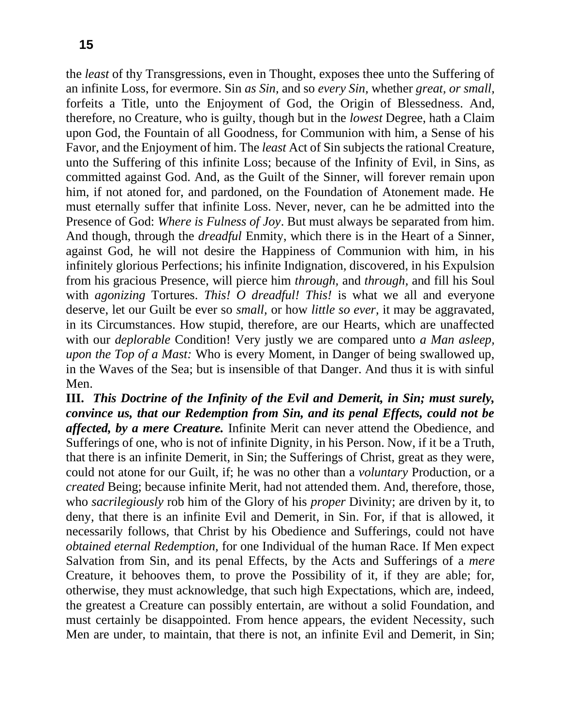the *least* of thy Transgressions, even in Thought, exposes thee unto the Suffering of an infinite Loss, for evermore. Sin *as Sin,* and so *every Sin,* whether *great, or small,*  forfeits a Title, unto the Enjoyment of God, the Origin of Blessedness. And, therefore, no Creature, who is guilty, though but in the *lowest* Degree, hath a Claim upon God, the Fountain of all Goodness, for Communion with him, a Sense of his Favor, and the Enjoyment of him. The *least* Act of Sin subjects the rational Creature, unto the Suffering of this infinite Loss; because of the Infinity of Evil, in Sins, as committed against God. And, as the Guilt of the Sinner, will forever remain upon him, if not atoned for, and pardoned, on the Foundation of Atonement made. He must eternally suffer that infinite Loss. Never, never, can he be admitted into the Presence of God: *Where is Fulness of Joy*. But must always be separated from him. And though, through the *dreadful* Enmity, which there is in the Heart of a Sinner, against God, he will not desire the Happiness of Communion with him, in his infinitely glorious Perfections; his infinite Indignation, discovered, in his Expulsion from his gracious Presence, will pierce him *through,* and *through,* and fill his Soul with *agonizing* Tortures. *This! O dreadful! This!* is what we all and everyone deserve, let our Guilt be ever so *small,* or how *little so ever,* it may be aggravated, in its Circumstances. How stupid, therefore, are our Hearts, which are unaffected with our *deplorable* Condition! Very justly we are compared unto *a Man asleep, upon the Top of a Mast:* Who is every Moment, in Danger of being swallowed up, in the Waves of the Sea; but is insensible of that Danger. And thus it is with sinful Men.

**III.** *This Doctrine of the Infinity of the Evil and Demerit, in Sin; must surely, convince us, that our Redemption from Sin, and its penal Effects, could not be affected, by a mere Creature.* Infinite Merit can never attend the Obedience, and Sufferings of one, who is not of infinite Dignity, in his Person. Now, if it be a Truth, that there is an infinite Demerit, in Sin; the Sufferings of Christ, great as they were, could not atone for our Guilt, if; he was no other than a *voluntary* Production, or a *created* Being; because infinite Merit, had not attended them. And, therefore, those, who *sacrilegiously* rob him of the Glory of his *proper* Divinity; are driven by it, to deny, that there is an infinite Evil and Demerit, in Sin. For, if that is allowed, it necessarily follows, that Christ by his Obedience and Sufferings, could not have *obtained eternal Redemption,* for one Individual of the human Race. If Men expect Salvation from Sin, and its penal Effects, by the Acts and Sufferings of a *mere*  Creature, it behooves them, to prove the Possibility of it, if they are able; for, otherwise, they must acknowledge, that such high Expectations, which are, indeed, the greatest a Creature can possibly entertain, are without a solid Foundation, and must certainly be disappointed. From hence appears, the evident Necessity, such Men are under, to maintain, that there is not, an infinite Evil and Demerit, in Sin;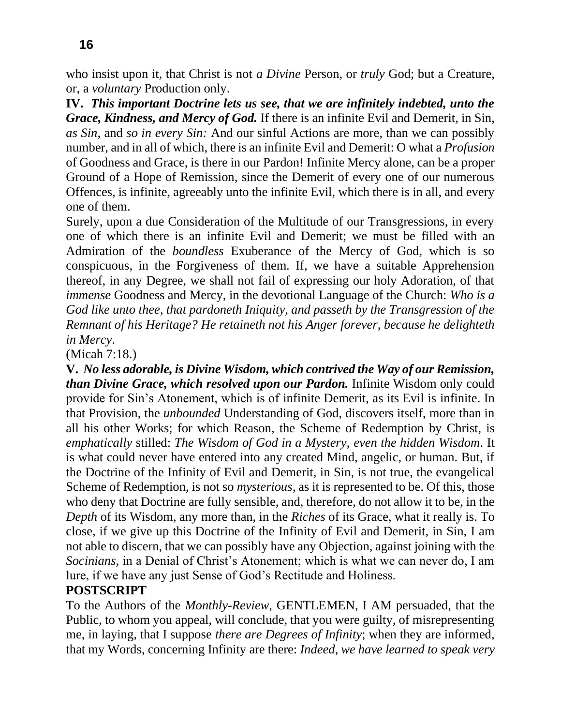who insist upon it, that Christ is not *a Divine* Person, or *truly* God; but a Creature, or, a *voluntary* Production only.

**IV.** *This important Doctrine lets us see, that we are infinitely indebted, unto the Grace, Kindness, and Mercy of God.* If there is an infinite Evil and Demerit, in Sin, *as Sin,* and *so in every Sin:* And our sinful Actions are more, than we can possibly number, and in all of which, there is an infinite Evil and Demerit: O what a *Profusion*  of Goodness and Grace, is there in our Pardon! Infinite Mercy alone, can be a proper Ground of a Hope of Remission, since the Demerit of every one of our numerous Offences, is infinite, agreeably unto the infinite Evil, which there is in all, and every one of them.

Surely, upon a due Consideration of the Multitude of our Transgressions, in every one of which there is an infinite Evil and Demerit; we must be filled with an Admiration of the *boundless* Exuberance of the Mercy of God, which is so conspicuous, in the Forgiveness of them. If, we have a suitable Apprehension thereof, in any Degree, we shall not fail of expressing our holy Adoration, of that *immense* Goodness and Mercy, in the devotional Language of the Church: *Who is a God like unto thee, that pardoneth Iniquity, and passeth by the Transgression of the Remnant of his Heritage? He retaineth not his Anger forever, because he delighteth in Mercy*.

(Micah 7:18.)

**V.** *No less adorable, is Divine Wisdom, which contrived the Way of our Remission, than Divine Grace, which resolved upon our Pardon.* Infinite Wisdom only could provide for Sin's Atonement, which is of infinite Demerit, as its Evil is infinite. In that Provision, the *unbounded* Understanding of God, discovers itself, more than in all his other Works; for which Reason, the Scheme of Redemption by Christ, is *emphatically* stilled: *The Wisdom of God in a Mystery, even the hidden Wisdom*. It is what could never have entered into any created Mind, angelic, or human. But, if the Doctrine of the Infinity of Evil and Demerit, in Sin, is not true, the evangelical Scheme of Redemption, is not so *mysterious,* as it is represented to be. Of this, those who deny that Doctrine are fully sensible, and, therefore, do not allow it to be, in the *Depth* of its Wisdom, any more than, in the *Riches* of its Grace, what it really is. To close, if we give up this Doctrine of the Infinity of Evil and Demerit, in Sin, I am not able to discern, that we can possibly have any Objection, against joining with the *Socinians,* in a Denial of Christ's Atonement; which is what we can never do, I am lure, if we have any just Sense of God's Rectitude and Holiness.

### **POSTSCRIPT**

To the Authors of the *Monthly-Review,* GENTLEMEN, I AM persuaded, that the Public, to whom you appeal, will conclude, that you were guilty, of misrepresenting me, in laying, that I suppose *there are Degrees of Infinity*; when they are informed, that my Words, concerning Infinity are there: *Indeed, we have learned to speak very*